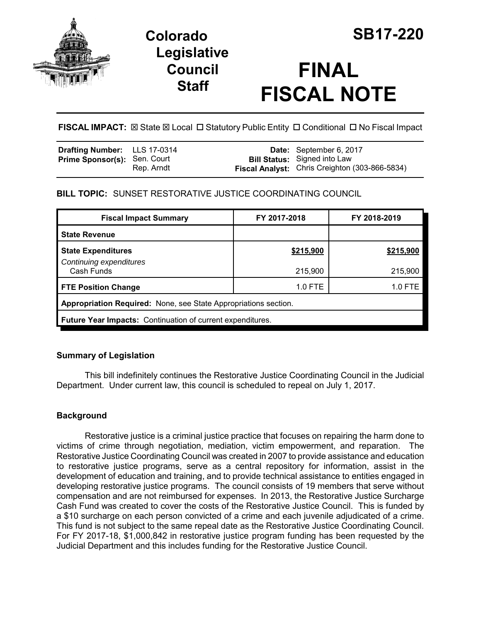

# **Colorado SB17-220 Legislative Council Staff**

# **FINAL FISCAL NOTE**

FISCAL IMPACT:  $\boxtimes$  State  $\boxtimes$  Local  $\Box$  Statutory Public Entity  $\Box$  Conditional  $\Box$  No Fiscal Impact

| <b>Drafting Number:</b> LLS 17-0314 |            | Date: September 6, 2017                                                               |
|-------------------------------------|------------|---------------------------------------------------------------------------------------|
| <b>Prime Sponsor(s): Sen. Court</b> | Rep. Arndt | <b>Bill Status:</b> Signed into Law<br>Fiscal Analyst: Chris Creighton (303-866-5834) |

# **BILL TOPIC:** SUNSET RESTORATIVE JUSTICE COORDINATING COUNCIL

| <b>Fiscal Impact Summary</b>                                      | FY 2017-2018 | FY 2018-2019 |  |  |  |
|-------------------------------------------------------------------|--------------|--------------|--|--|--|
| <b>State Revenue</b>                                              |              |              |  |  |  |
| <b>State Expenditures</b><br>Continuing expenditures              | \$215,900    | \$215,900    |  |  |  |
| Cash Funds                                                        | 215,900      | 215,900      |  |  |  |
| <b>FTE Position Change</b>                                        | 1.0 FTE      | 1.0 FTE      |  |  |  |
| Appropriation Required: None, see State Appropriations section.   |              |              |  |  |  |
| <b>Future Year Impacts: Continuation of current expenditures.</b> |              |              |  |  |  |

# **Summary of Legislation**

This bill indefinitely continues the Restorative Justice Coordinating Council in the Judicial Department. Under current law, this council is scheduled to repeal on July 1, 2017.

# **Background**

Restorative justice is a criminal justice practice that focuses on repairing the harm done to victims of crime through negotiation, mediation, victim empowerment, and reparation. The Restorative Justice Coordinating Council was created in 2007 to provide assistance and education to restorative justice programs, serve as a central repository for information, assist in the development of education and training, and to provide technical assistance to entities engaged in developing restorative justice programs. The council consists of 19 members that serve without compensation and are not reimbursed for expenses. In 2013, the Restorative Justice Surcharge Cash Fund was created to cover the costs of the Restorative Justice Council. This is funded by a \$10 surcharge on each person convicted of a crime and each juvenile adjudicated of a crime. This fund is not subject to the same repeal date as the Restorative Justice Coordinating Council. For FY 2017-18, \$1,000,842 in restorative justice program funding has been requested by the Judicial Department and this includes funding for the Restorative Justice Council.